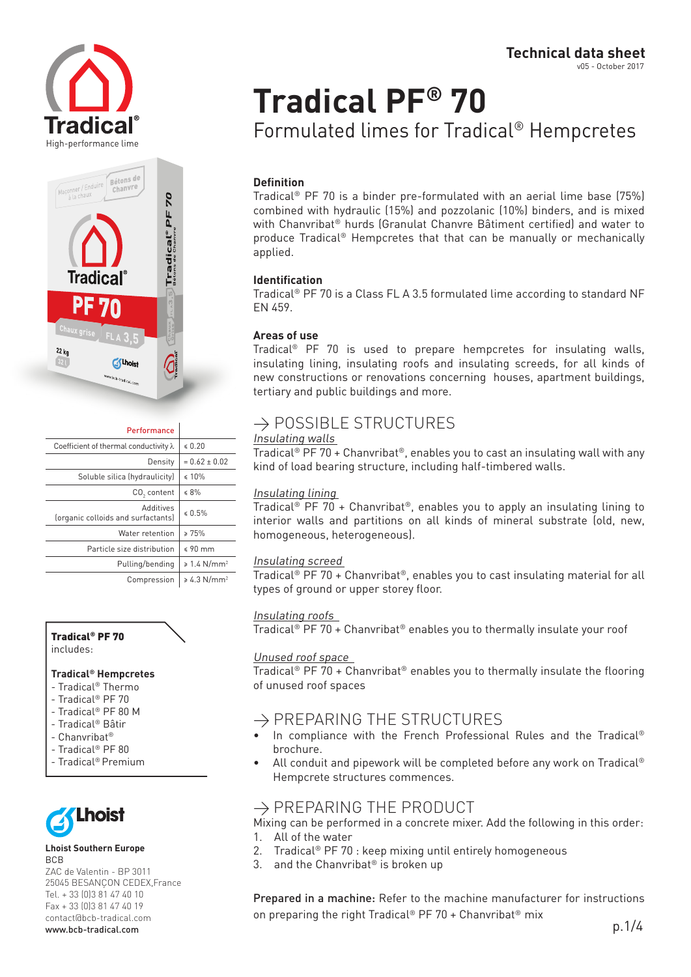High-performance lime



| Performance                                     |                              |
|-------------------------------------------------|------------------------------|
| Coefficient of thermal conductivity $\lambda$   | \$0.20                       |
| Density                                         | $= 0.62 \pm 0.02$            |
| Soluble silica (hydraulicity)                   | $\leq 10\%$                  |
| CO <sub>3</sub> content                         | $\leq 8\%$                   |
| Additives<br>(organic colloids and surfactants) | \$0.5%                       |
| Water retention                                 | > 75%                        |
| Particle size distribution                      | $$90$ mm                     |
| Pulling/bending                                 | $\geq 1.4$ N/mm <sup>2</sup> |
| Compression                                     | $\geq 4.3$ N/mm <sup>2</sup> |

#### Tradical® PF 70

includes:

#### **Tradical® Hempcretes**

- Tradical® Thermo
- Tradical® PF 70
- Tradical® PF 80 M
- Tradical® Bâtir
- Chanvribat®
- Tradical® PF 80
- Tradical® Premium



#### **Lhoist Southern Europe** BCB

ZAC de Valentin - BP 3011 25045 BESANÇON CEDEX,France Tel. + 33 (0)3 81 47 40 10 Fax + 33 (0)3 81 47 40 19 contact@bcb-tradical.com www.bcb-tradical.com

## **Tradical PF® 70** Formulated limes for Tradical® Hempcretes

#### **Definition**

Tradical® PF 70 is a binder pre-formulated with an aerial lime base (75%) combined with hydraulic (15%) and pozzolanic (10%) binders, and is mixed with Chanvribat® hurds (Granulat Chanvre Bâtiment certified) and water to produce Tradical® Hempcretes that that can be manually or mechanically applied.

#### **Identification**

Tradical® PF 70 is a Class FL A 3.5 formulated lime according to standard NF EN 459.

#### **Areas of use**

Tradical® PF 70 is used to prepare hempcretes for insulating walls, insulating lining, insulating roofs and insulating screeds, for all kinds of new constructions or renovations concerning houses, apartment buildings, tertiary and public buildings and more.

## $\rightarrow$  POSSIBLE STRUCTURES

#### Insulating walls

Tradical<sup>®</sup> PF 70 + Chanvribat<sup>®</sup>, enables you to cast an insulating wall with any kind of load bearing structure, including half-timbered walls.

#### Insulating lining

Tradical<sup>®</sup> PF 70 + Chanvribat<sup>®</sup>, enables you to apply an insulating lining to interior walls and partitions on all kinds of mineral substrate (old, new, homogeneous, heterogeneous).

#### Insulating screed

Tradical® PF 70 + Chanvribat®, enables you to cast insulating material for all types of ground or upper storey floor.

#### Insulating roofs

Tradical® PF 70 + Chanvribat® enables you to thermally insulate your roof

#### Unused roof space

Tradical® PF 70 + Chanvribat® enables you to thermally insulate the flooring of unused roof spaces

### $\rightarrow$  PREPARING THE STRUCTURES

- In compliance with the French Professional Rules and the Tradical® brochure.
- All conduit and pipework will be completed before any work on Tradical® Hempcrete structures commences.

## $\rightarrow$  PREPARING THE PRODUCT

Mixing can be performed in a concrete mixer. Add the following in this order: 1. All of the water

- 2. Tradical® PF 70 : keep mixing until entirely homogeneous
- 3. and the Chanvribat<sup>®</sup> is broken up

Prepared in a machine: Refer to the machine manufacturer for instructions on preparing the right Tradical<sup>®</sup> PF 70 + Chanvribat<sup>®</sup> mix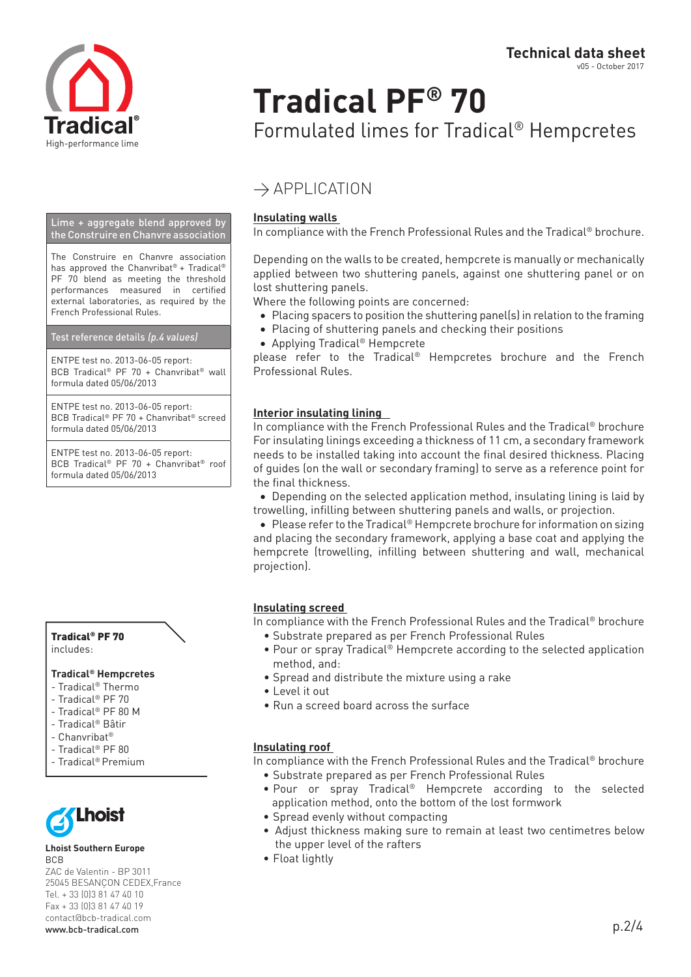

# **Tradical PF® 70**

Formulated limes for Tradical® Hempcretes

## $\rightarrow$  APPLICATION

#### **Insulating walls**

In compliance with the French Professional Rules and the Tradical® brochure.

Depending on the walls to be created, hempcrete is manually or mechanically applied between two shuttering panels, against one shuttering panel or on lost shuttering panels.

Where the following points are concerned:

- Placing spacers to position the shuttering panel(s) in relation to the framing
- Placing of shuttering panels and checking their positions
- • Applying Tradical® Hempcrete

please refer to the Tradical® Hempcretes brochure and the French Professional Rules.

#### **Interior insulating lining**

In compliance with the French Professional Rules and the Tradical® brochure For insulating linings exceeding a thickness of 11 cm, a secondary framework needs to be installed taking into account the final desired thickness. Placing of guides (on the wall or secondary framing) to serve as a reference point for the final thickness.

• Depending on the selected application method, insulating lining is laid by trowelling, infilling between shuttering panels and walls, or projection.

● Please refer to the Tradical® Hempcrete brochure for information on sizing and placing the secondary framework, applying a base coat and applying the hempcrete (trowelling, infilling between shuttering and wall, mechanical projection).

#### **Insulating screed**

In compliance with the French Professional Rules and the Tradical® brochure

- Substrate prepared as per French Professional Rules
- • Pour or spray Tradical® Hempcrete according to the selected application method, and:
- Spread and distribute the mixture using a rake
- I evel it out
- Run a screed board across the surface

#### **Insulating roof**

In compliance with the French Professional Rules and the Tradical® brochure

- Substrate prepared as per French Professional Rules
- Pour or spray Tradical® Hempcrete according to the selected application method, onto the bottom of the lost formwork
- Spread evenly without compacting
- Adjust thickness making sure to remain at least two centimetres below the upper level of the rafters
- Float lightly

Lime + aggregate blend approved by the Construire en Chanvre association

The Construire en Chanvre association has approved the Chanvribat<sup>®</sup> + Tradical<sup>®</sup> PF 70 blend as meeting the threshold performances measured in certified external laboratories, as required by the French Professional Rules.

#### Test reference details (p.4 values)

ENTPE test no. 2013-06-05 report: BCB Tradical® PF 70 + Chanvribat® wall formula dated 05/06/2013

ENTPE test no. 2013-06-05 report: BCB Tradical® PF 70 + Chanvribat® screed formula dated 05/06/2013

ENTPE test no. 2013-06-05 report: BCB Tradical® PF 70 + Chanvribat® roof formula dated 05/06/2013



#### **Tradical® Hempcretes**

- Tradical® Thermo
- Tradical® PF 70
- Tradical® PF 80 M
- Tradical® Bâtir
- Chanvribat®
- Tradical® PF 80
- Tradical® Premium



#### **Lhoist Southern Europe** BCB

ZAC de Valentin - BP 3011 25045 BESANÇON CEDEX,France Tel. + 33 (0)3 81 47 40 10 Fax + 33 (0)3 81 47 40 19 contact@bcb-tradical.com www.bcb-tradical.com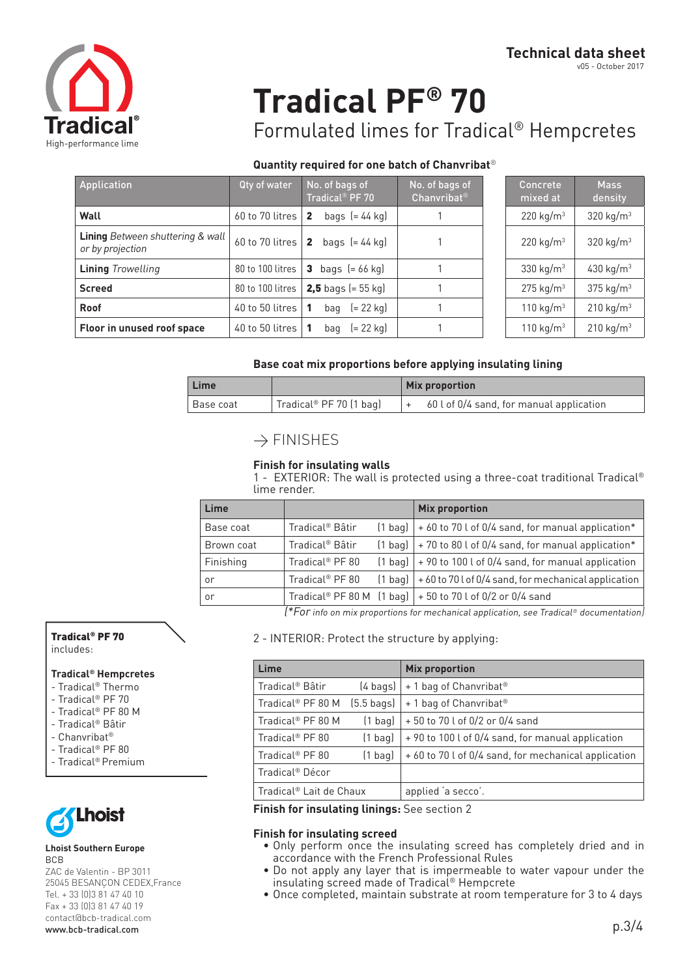

## **Tradical PF® 70**

Formulated limes for Tradical® Hempcretes

#### **Quantity required for one batch of Chanvribat**®

| Application                                                 | Qty of water     | No. of bags of<br>Tradical <sup>®</sup> PF 70 | No. of bags of<br>Chanvribat <sup>®</sup> | Concrete<br>mixed at  | <b>Mass</b><br>density |
|-------------------------------------------------------------|------------------|-----------------------------------------------|-------------------------------------------|-----------------------|------------------------|
| Wall                                                        | 60 to 70 litres  | bags $= 44$ kg<br>$\overline{2}$              |                                           | 220 kg/ $m3$          | 320 $kg/m3$            |
| <b>Lining</b> Between shuttering & wall<br>or by projection | 60 to 70 litres  | bags $= 44$ kg<br>$\overline{2}$              |                                           | 220 kg/m <sup>3</sup> | 320 $kg/m3$            |
| <b>Lining Trowelling</b>                                    | 80 to 100 litres | bags $[= 66$ kg)<br>3                         |                                           | 330 kg/ $m3$          | 430 kg/m <sup>3</sup>  |
| <b>Screed</b>                                               | 80 to 100 litres | <b>2,5</b> bags (= $55$ kg)                   |                                           | $275 \text{ kg/m}^3$  | 375 $kg/m3$            |
| Roof                                                        | 40 to 50 litres  | $= 22$ kg<br>bag                              |                                           | 110 $kg/m3$           | $210 \text{ kg/m}^3$   |
| Floor in unused roof space                                  | 40 to 50 litres  | (= 22 kg)<br>bag                              |                                           | 110 kg/m <sup>3</sup> | $210 \text{ kg/m}^3$   |

| Concrete<br>mixed at  | <b>Mass</b><br>density |
|-----------------------|------------------------|
| $220 \text{ kg/m}^3$  | 320 kg/m <sup>3</sup>  |
| 220 $kg/m3$           | 320 kg/m <sup>3</sup>  |
| 330 kg/m <sup>3</sup> | 430 kg/m <sup>3</sup>  |
| $275 \text{ kg/m}^3$  | 375 kg/m <sup>3</sup>  |
| 110 kg/m <sup>3</sup> | 210 kg/m <sup>3</sup>  |
| 110 $kg/m3$           | 210 kg/m <sup>3</sup>  |

#### **Base coat mix proportions before applying insulating lining**

| Lime      |                         | <b>Mix proportion</b>                    |  |  |
|-----------|-------------------------|------------------------------------------|--|--|
| Base coat | Tradical® PF 70 (1 bag) | 60 l of 0/4 sand, for manual application |  |  |

## $\rightarrow$  FINISHES

#### **Finish for insulating walls**

1 - EXTERIOR: The wall is protected using a three-coat traditional Tradical® lime render.

| Lime       |                             |           | <b>Mix proportion</b>                                               |
|------------|-----------------------------|-----------|---------------------------------------------------------------------|
| Base coat  | Tradical <sup>®</sup> Bâtir | $(1$ bag) | + 60 to 70 l of 0/4 sand, for manual application*                   |
| Brown coat | Tradical <sup>®</sup> Bâtir |           | $(1$ bag) $\vert$ + 70 to 80 l of 0/4 sand, for manual application* |
| Finishing  | Tradical <sup>®</sup> PF 80 |           | $(1$ bag) $  + 90$ to 100 l of 0/4 sand, for manual application     |
| or         | Tradical <sup>®</sup> PF 80 | $(1$ bag) | +60 to 70 l of 0/4 sand, for mechanical application                 |
| or         |                             |           | Tradical® PF 80 M $(1$ bag] $  + 50$ to 70 l of 0/2 or 0/4 sand     |

(\*For info on mix proportions for mechanical application, see Tradical® documentation)

2 - INTERIOR: Protect the structure by applying:

| Lime                                |                      | <b>Mix proportion</b>                                |
|-------------------------------------|----------------------|------------------------------------------------------|
| Tradical® Bâtir                     | $(4 \text{ bags})$   | + 1 bag of Chanvribat <sup>®</sup>                   |
| Tradical® PF 80 M                   | $(5.5 \text{ bags})$ | + 1 bag of Chanvribat <sup>®</sup>                   |
| Tradical <sup>®</sup> PF 80 M       | $(1$ bag)            | +50 to 70 l of 0/2 or 0/4 sand                       |
| Tradical <sup>®</sup> PF 80         | $(1$ bag)            | +90 to 100 l of 0/4 sand, for manual application     |
| Tradical <sup>®</sup> PF 80         | $(1$ bag)            | + 60 to 70 l of 0/4 sand, for mechanical application |
| Tradical <sup>®</sup> Décor         |                      |                                                      |
| Tradical <sup>®</sup> Lait de Chaux |                      | applied 'a secco'.                                   |

**Finish for insulating linings:** See section 2

#### **Finish for insulating screed**

- Only perform once the insulating screed has completely dried and in accordance with the French Professional Rules
- Do not apply any layer that is impermeable to water vapour under the insulating screed made of Tradical® Hempcrete
- Once completed, maintain substrate at room temperature for 3 to 4 days

### Tradical® PF 70

includes:

#### **Tradical® Hempcretes**

- Tradical® Thermo
- Tradical® PF 70
- Tradical® PF 80 M
- Tradical® Bâtir - Chanvribat®
- Tradical® PF 80
- Tradical® Premium
- 



#### **Lhoist Southern Europe** BCB

ZAC de Valentin - BP 3011 25045 BESANÇON CEDEX,France Tel. + 33 (0)3 81 47 40 10 Fax + 33 (0)3 81 47 40 19 contact@bcb-tradical.com www.bcb-tradical.com